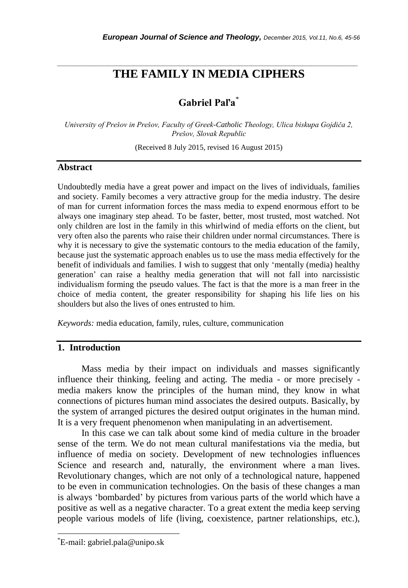# *\_\_\_\_\_\_\_\_\_\_\_\_\_\_\_\_\_\_\_\_\_\_\_\_\_\_\_\_\_\_\_\_\_\_\_\_\_\_\_\_\_\_\_\_\_\_\_\_\_\_\_\_\_\_\_\_\_\_\_\_\_\_\_\_\_\_\_\_\_\_\_* **THE FAMILY IN MEDIA CIPHERS**

# **Gabriel Paľa**\*

*University of Prešov in Prešov, Faculty of Greek-Catholic Theology, Ulica biskupa Gojdiča 2, Prešov, Slovak Republic*

(Received 8 July 2015, revised 16 August 2015)

#### **Abstract**

Undoubtedly media have a great power and impact on the lives of individuals, families and society. Family becomes a very attractive group for the media industry. The desire of man for current information forces the mass media to expend enormous effort to be always one imaginary step ahead. To be faster, better, most trusted, most watched. Not only children are lost in the family in this whirlwind of media efforts on the client, but very often also the parents who raise their children under normal circumstances. There is why it is necessary to give the systematic contours to the media education of the family, because just the systematic approach enables us to use the mass media effectively for the benefit of individuals and families. I wish to suggest that only "mentally (media) healthy generation" can raise a healthy media generation that will not fall into narcissistic individualism forming the pseudo values. The fact is that the more is a man freer in the choice of media content, the greater responsibility for shaping his life lies on his shoulders but also the lives of ones entrusted to him.

*Keywords:* media education, family, rules, culture, communication

#### **1. Introduction**

Mass media by their impact on individuals and masses significantly influence their thinking, feeling and acting. The media - or more precisely media makers know the principles of the human mind, they know in what connections of pictures human mind associates the desired outputs. Basically, by the system of arranged pictures the desired output originates in the human mind. It is a very frequent phenomenon when manipulating in an advertisement.

In this case we can talk about some kind of media culture in the broader sense of the term. We do not mean cultural manifestations via the media, but influence of media on society. Development of new technologies influences Science and research and, naturally, the environment where a man lives. Revolutionary changes, which are not only of a technological nature, happened to be even in communication technologies. On the basis of these changes a man is always "bombarded" by pictures from various parts of the world which have a positive as well as a negative character. To a great extent the media keep serving people various models of life (living, coexistence, partner relationships, etc.),

l

<sup>\*</sup>E-mail: gabriel.pala@unipo.sk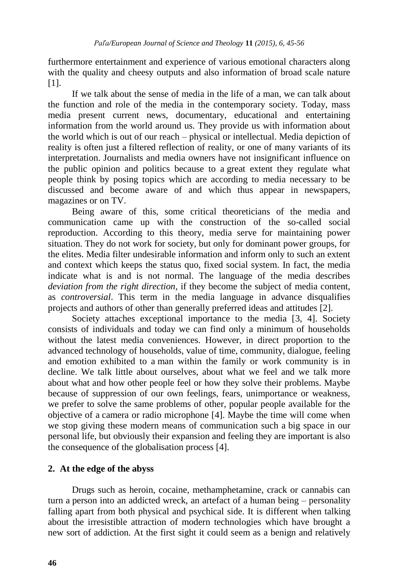furthermore entertainment and experience of various emotional characters along with the quality and cheesy outputs and also information of broad scale nature [1].

If we talk about the sense of media in the life of a man, we can talk about the function and role of the media in the contemporary society. Today, mass media present current news, documentary, educational and entertaining information from the world around us. They provide us with information about the world which is out of our reach – physical or intellectual. Media depiction of reality is often just a filtered reflection of reality, or one of many variants of its interpretation. Journalists and media owners have not insignificant influence on the public opinion and politics because to a great extent they regulate what people think by posing topics which are according to media necessary to be discussed and become aware of and which thus appear in newspapers, magazines or on TV.

Being aware of this, some critical theoreticians of the media and communication came up with the construction of the so-called social reproduction. According to this theory, media serve for maintaining power situation. They do not work for society, but only for dominant power groups, for the elites. Media filter undesirable information and inform only to such an extent and context which keeps the status quo, fixed social system. In fact, the media indicate what is and is not normal. The language of the media describes *deviation from the right direction,* if they become the subject of media content, as *controversial*. This term in the media language in advance disqualifies projects and authors of other than generally preferred ideas and attitudes [2].

Society attaches exceptional importance to the media [3, 4]. Society consists of individuals and today we can find only a minimum of households without the latest media conveniences. However, in direct proportion to the advanced technology of households, value of time, community, dialogue, feeling and emotion exhibited to a man within the family or work community is in decline. We talk little about ourselves, about what we feel and we talk more about what and how other people feel or how they solve their problems. Maybe because of suppression of our own feelings, fears, unimportance or weakness, we prefer to solve the same problems of other, popular people available for the objective of a camera or radio microphone [4]. Maybe the time will come when we stop giving these modern means of communication such a big space in our personal life, but obviously their expansion and feeling they are important is also the consequence of the globalisation process [4].

# **2. At the edge of the abyss**

Drugs such as heroin, cocaine, methamphetamine, crack or cannabis can turn a person into an addicted wreck, an artefact of a human being – personality falling apart from both physical and psychical side. It is different when talking about the irresistible attraction of modern technologies which have brought a new sort of addiction. At the first sight it could seem as a benign and relatively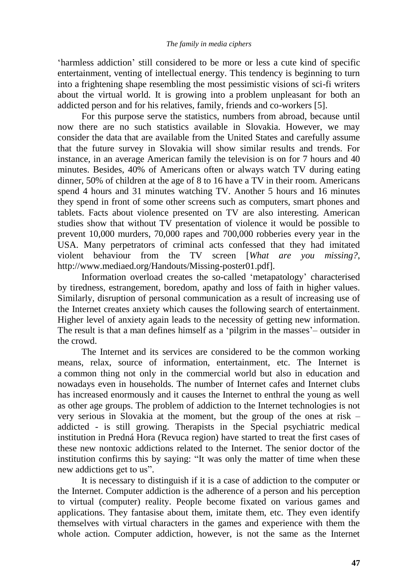"harmless addiction" still considered to be more or less a cute kind of specific entertainment, venting of intellectual energy. This tendency is beginning to turn into a frightening shape resembling the most pessimistic visions of sci-fi writers about the virtual world. It is growing into a problem unpleasant for both an addicted person and for his relatives, family, friends and co-workers [5].

For this purpose serve the statistics, numbers from abroad, because until now there are no such statistics available in Slovakia. However, we may consider the data that are available from the United States and carefully assume that the future survey in Slovakia will show similar results and trends. For instance, in an average American family the television is on for 7 hours and 40 minutes. Besides, 40% of Americans often or always watch TV during eating dinner, 50% of children at the age of 8 to 16 have a TV in their room. Americans spend 4 hours and 31 minutes watching TV. Another 5 hours and 16 minutes they spend in front of some other screens such as computers, smart phones and tablets. Facts about violence presented on TV are also interesting. American studies show that without TV presentation of violence it would be possible to prevent 10,000 murders, 70,000 rapes and 700,000 robberies every year in the USA. Many perpetrators of criminal acts confessed that they had imitated violent behaviour from the TV screen [*What are you missing?*, http://www.mediaed.org/Handouts/Missing-poster01.pdf].

Information overload creates the so-called "metapatology" characterised by tiredness, estrangement, boredom, apathy and loss of faith in higher values. Similarly, disruption of personal communication as a result of increasing use of the Internet creates anxiety which causes the following search of entertainment. Higher level of anxiety again leads to the necessity of getting new information. The result is that a man defines himself as a 'pilgrim in the masses' – outsider in the crowd.

The Internet and its services are considered to be the common working means, relax, source of information, entertainment, etc. The Internet is a common thing not only in the commercial world but also in education and nowadays even in households. The number of Internet cafes and Internet clubs has increased enormously and it causes the Internet to enthral the young as well as other age groups. The problem of addiction to the Internet technologies is not very serious in Slovakia at the moment, but the group of the ones at risk – addicted - is still growing. Therapists in the Special psychiatric medical institution in Predná Hora (Revuca region) have started to treat the first cases of these new nontoxic addictions related to the Internet. The senior doctor of the institution confirms this by saying: "It was only the matter of time when these new addictions get to us".

It is necessary to distinguish if it is a case of addiction to the computer or the Internet. Computer addiction is the adherence of a person and his perception to virtual (computer) reality. People become fixated on various games and applications. They fantasise about them, imitate them, etc. They even identify themselves with virtual characters in the games and experience with them the whole action. Computer addiction, however, is not the same as the Internet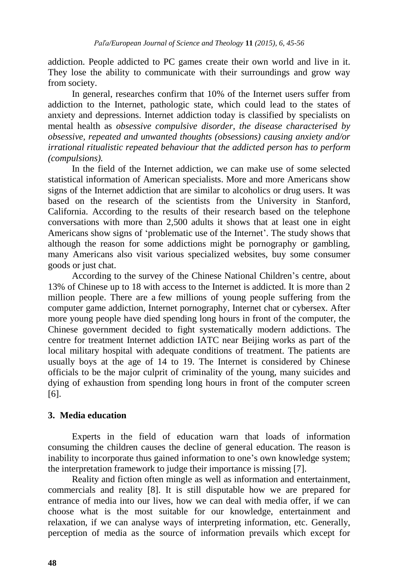addiction. People addicted to PC games create their own world and live in it. They lose the ability to communicate with their surroundings and grow way from society.

In general, researches confirm that 10% of the Internet users suffer from addiction to the Internet, pathologic state, which could lead to the states of anxiety and depressions. Internet addiction today is classified by specialists on mental health as *obsessive compulsive disorder, the disease characterised by obsessive, repeated and unwanted thoughts (obsessions) causing anxiety and/or irrational ritualistic repeated behaviour that the addicted person has to perform (compulsions).*

In the field of the Internet addiction, we can make use of some selected statistical information of American specialists. More and more Americans show signs of the Internet addiction that are similar to alcoholics or drug users. It was based on the research of the scientists from the University in Stanford, California. According to the results of their research based on the telephone conversations with more than 2,500 adults it shows that at least one in eight Americans show signs of 'problematic use of the Internet'. The study shows that although the reason for some addictions might be pornography or gambling, many Americans also visit various specialized websites, buy some consumer goods or just chat.

According to the survey of the Chinese National Children"s centre, about 13% of Chinese up to 18 with access to the Internet is addicted. It is more than 2 million people. There are a few millions of young people suffering from the computer game addiction, Internet pornography, Internet chat or cybersex. After more young people have died spending long hours in front of the computer, the Chinese government decided to fight systematically modern addictions. The centre for treatment Internet addiction IATC near Beijing works as part of the local military hospital with adequate conditions of treatment. The patients are usually boys at the age of 14 to 19. The Internet is considered by Chinese officials to be the major culprit of criminality of the young, many suicides and dying of exhaustion from spending long hours in front of the computer screen [6].

### **3. Media education**

Experts in the field of education warn that loads of information consuming the children causes the decline of general education. The reason is inability to incorporate thus gained information to one"s own knowledge system; the interpretation framework to judge their importance is missing [7].

Reality and fiction often mingle as well as information and entertainment, commercials and reality [8]. It is still disputable how we are prepared for entrance of media into our lives, how we can deal with media offer, if we can choose what is the most suitable for our knowledge, entertainment and relaxation, if we can analyse ways of interpreting information, etc. Generally, perception of media as the source of information prevails which except for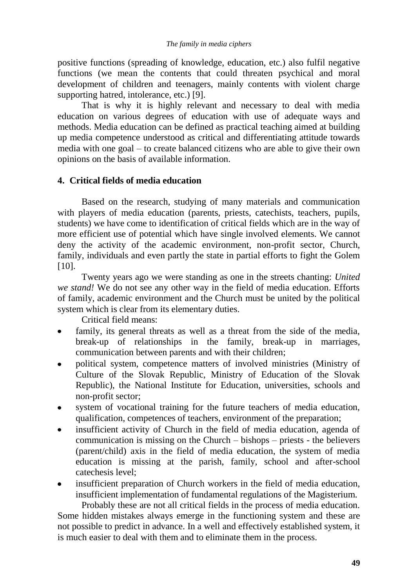positive functions (spreading of knowledge, education, etc.) also fulfil negative functions (we mean the contents that could threaten psychical and moral development of children and teenagers, mainly contents with violent charge supporting hatred, intolerance, etc.) [9].

That is why it is highly relevant and necessary to deal with media education on various degrees of education with use of adequate ways and methods. Media education can be defined as practical teaching aimed at building up media competence understood as critical and differentiating attitude towards media with one goal – to create balanced citizens who are able to give their own opinions on the basis of available information.

# **4. Critical fields of media education**

Based on the research, studying of many materials and communication with players of media education (parents, priests, catechists, teachers, pupils, students) we have come to identification of critical fields which are in the way of more efficient use of potential which have single involved elements. We cannot deny the activity of the academic environment, non-profit sector, Church, family, individuals and even partly the state in partial efforts to fight the Golem [10].

Twenty years ago we were standing as one in the streets chanting: *United we stand!* We do not see any other way in the field of media education. Efforts of family, academic environment and the Church must be united by the political system which is clear from its elementary duties.

Critical field means:

- family, its general threats as well as a threat from the side of the media, break-up of relationships in the family, break-up in marriages, communication between parents and with their children;
- political system, competence matters of involved ministries (Ministry of  $\bullet$ Culture of the Slovak Republic, Ministry of Education of the Slovak Republic), the National Institute for Education, universities, schools and non-profit sector;
- system of vocational training for the future teachers of media education, qualification, competences of teachers, environment of the preparation;
- insufficient activity of Church in the field of media education, agenda of communication is missing on the Church – bishops – priests - the believers (parent/child) axis in the field of media education, the system of media education is missing at the parish, family, school and after-school catechesis level;
- insufficient preparation of Church workers in the field of media education, insufficient implementation of fundamental regulations of the Magisterium.

Probably these are not all critical fields in the process of media education. Some hidden mistakes always emerge in the functioning system and these are not possible to predict in advance. In a well and effectively established system, it is much easier to deal with them and to eliminate them in the process.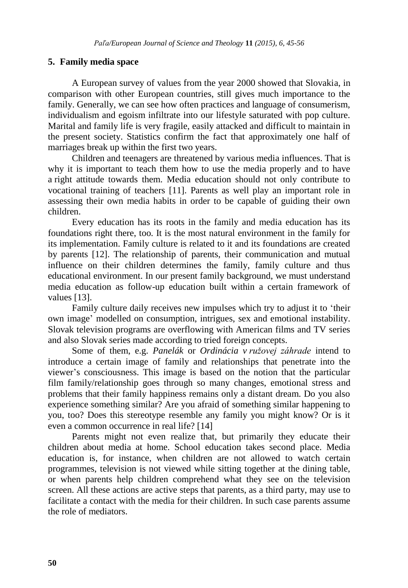# **5. Family media space**

A European survey of values from the year 2000 showed that Slovakia, in comparison with other European countries, still gives much importance to the family. Generally, we can see how often practices and language of consumerism, individualism and egoism infiltrate into our lifestyle saturated with pop culture. Marital and family life is very fragile, easily attacked and difficult to maintain in the present society. Statistics confirm the fact that approximately one half of marriages break up within the first two years.

Children and teenagers are threatened by various media influences. That is why it is important to teach them how to use the media properly and to have a right attitude towards them. Media education should not only contribute to vocational training of teachers [11]. Parents as well play an important role in assessing their own media habits in order to be capable of guiding their own children.

Every education has its roots in the family and media education has its foundations right there, too. It is the most natural environment in the family for its implementation. Family culture is related to it and its foundations are created by parents [12]. The relationship of parents, their communication and mutual influence on their children determines the family, family culture and thus educational environment. In our present family background, we must understand media education as follow-up education built within a certain framework of values [13].

Family culture daily receives new impulses which try to adjust it to 'their own image" modelled on consumption, intrigues, sex and emotional instability. Slovak television programs are overflowing with American films and TV series and also Slovak series made according to tried foreign concepts.

Some of them, e.g. *Panelák* or *Ordinácia v ružovej záhrade* intend to introduce a certain image of family and relationships that penetrate into the viewer"s consciousness. This image is based on the notion that the particular film family/relationship goes through so many changes, emotional stress and problems that their family happiness remains only a distant dream. Do you also experience something similar? Are you afraid of something similar happening to you, too? Does this stereotype resemble any family you might know? Or is it even a common occurrence in real life? [14]

Parents might not even realize that, but primarily they educate their children about media at home. School education takes second place. Media education is, for instance, when children are not allowed to watch certain programmes, television is not viewed while sitting together at the dining table, or when parents help children comprehend what they see on the television screen. All these actions are active steps that parents, as a third party, may use to facilitate a contact with the media for their children. In such case parents assume the role of mediators.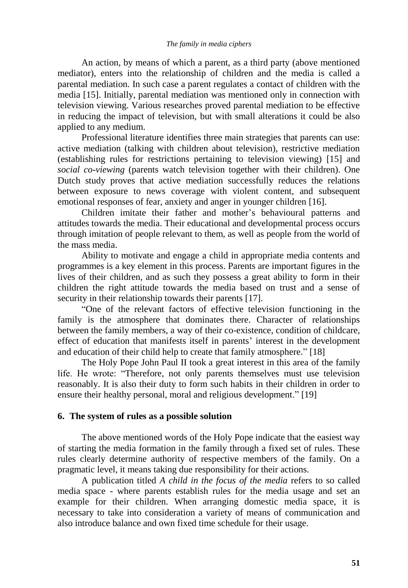#### *The family in media ciphers*

An action, by means of which a parent, as a third party (above mentioned mediator), enters into the relationship of children and the media is called a parental mediation. In such case a parent regulates a contact of children with the media [15]. Initially, parental mediation was mentioned only in connection with television viewing. Various researches proved parental mediation to be effective in reducing the impact of television, but with small alterations it could be also applied to any medium.

Professional literature identifies three main strategies that parents can use: active mediation (talking with children about television), restrictive mediation (establishing rules for restrictions pertaining to television viewing) [15] and *social co-viewing* (parents watch television together with their children). One Dutch study proves that active mediation successfully reduces the relations between exposure to news coverage with violent content, and subsequent emotional responses of fear, anxiety and anger in younger children [16].

Children imitate their father and mother"s behavioural patterns and attitudes towards the media. Their educational and developmental process occurs through imitation of people relevant to them, as well as people from the world of the mass media.

Ability to motivate and engage a child in appropriate media contents and programmes is a key element in this process. Parents are important figures in the lives of their children, and as such they possess a great ability to form in their children the right attitude towards the media based on trust and a sense of security in their relationship towards their parents [17].

"One of the relevant factors of effective television functioning in the family is the atmosphere that dominates there. Character of relationships between the family members, a way of their co-existence, condition of childcare, effect of education that manifests itself in parents' interest in the development and education of their child help to create that family atmosphere." [18]

The Holy Pope John Paul II took a great interest in this area of the family life. He wrote: "Therefore, not only parents themselves must use television reasonably. It is also their duty to form such habits in their children in order to ensure their healthy personal, moral and religious development." [19]

#### **6. The system of rules as a possible solution**

The above mentioned words of the Holy Pope indicate that the easiest way of starting the media formation in the family through a fixed set of rules. These rules clearly determine authority of respective members of the family. On a pragmatic level, it means taking due responsibility for their actions.

A publication titled *A child in the focus of the media* refers to so called media space - where parents establish rules for the media usage and set an example for their children. When arranging domestic media space, it is necessary to take into consideration a variety of means of communication and also introduce balance and own fixed time schedule for their usage.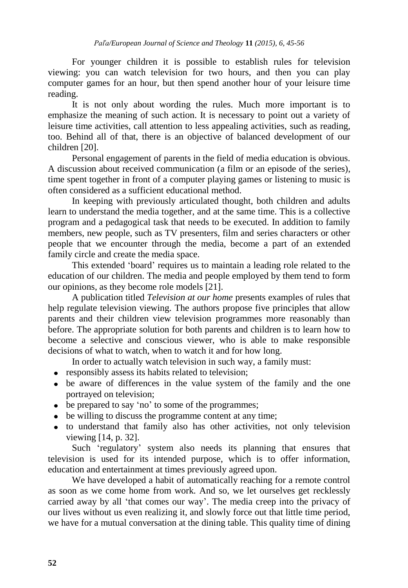For younger children it is possible to establish rules for television viewing: you can watch television for two hours, and then you can play computer games for an hour, but then spend another hour of your leisure time reading.

It is not only about wording the rules. Much more important is to emphasize the meaning of such action. It is necessary to point out a variety of leisure time activities, call attention to less appealing activities, such as reading, too. Behind all of that, there is an objective of balanced development of our children [20].

Personal engagement of parents in the field of media education is obvious. A discussion about received communication (a film or an episode of the series), time spent together in front of a computer playing games or listening to music is often considered as a sufficient educational method.

In keeping with previously articulated thought, both children and adults learn to understand the media together, and at the same time. This is a collective program and a pedagogical task that needs to be executed. In addition to family members, new people, such as TV presenters, film and series characters or other people that we encounter through the media, become a part of an extended family circle and create the media space.

This extended "board" requires us to maintain a leading role related to the education of our children. The media and people employed by them tend to form our opinions, as they become role models [21].

A publication titled *Television at our home* presents examples of rules that help regulate television viewing. The authors propose five principles that allow parents and their children view television programmes more reasonably than before. The appropriate solution for both parents and children is to learn how to become a selective and conscious viewer, who is able to make responsible decisions of what to watch, when to watch it and for how long.

In order to actually watch television in such way, a family must:

- responsibly assess its habits related to television;
- be aware of differences in the value system of the family and the one portrayed on television;
- be prepared to say 'no' to some of the programmes;
- be willing to discuss the programme content at any time;
- to understand that family also has other activities, not only television viewing [14, p. 32].

Such "regulatory" system also needs its planning that ensures that television is used for its intended purpose, which is to offer information, education and entertainment at times previously agreed upon.

We have developed a habit of automatically reaching for a remote control as soon as we come home from work. And so, we let ourselves get recklessly carried away by all "that comes our way". The media creep into the privacy of our lives without us even realizing it, and slowly force out that little time period, we have for a mutual conversation at the dining table. This quality time of dining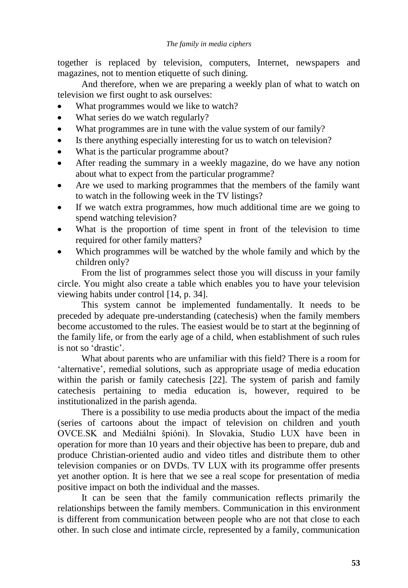together is replaced by television, computers, Internet, newspapers and magazines, not to mention etiquette of such dining.

And therefore, when we are preparing a weekly plan of what to watch on television we first ought to ask ourselves:

- What programmes would we like to watch?
- $\bullet$ What series do we watch regularly?
- What programmes are in tune with the value system of our family?
- Is there anything especially interesting for us to watch on television?
- What is the particular programme about?
- After reading the summary in a weekly magazine, do we have any notion about what to expect from the particular programme?
- Are we used to marking programmes that the members of the family want to watch in the following week in the TV listings?
- If we watch extra programmes, how much additional time are we going to spend watching television?
- What is the proportion of time spent in front of the television to time required for other family matters?
- Which programmes will be watched by the whole family and which by the children only?

From the list of programmes select those you will discuss in your family circle. You might also create a table which enables you to have your television viewing habits under control [14, p. 34].

This system cannot be implemented fundamentally. It needs to be preceded by adequate pre-understanding (catechesis) when the family members become accustomed to the rules. The easiest would be to start at the beginning of the family life, or from the early age of a child, when establishment of such rules is not so "drastic".

What about parents who are unfamiliar with this field? There is a room for "alternative", remedial solutions, such as appropriate usage of media education within the parish or family catechesis [22]. The system of parish and family catechesis pertaining to media education is, however, required to be institutionalized in the parish agenda.

There is a possibility to use media products about the impact of the media (series of cartoons about the impact of television on children and youth OVCE.SK and Mediálni špióni). In Slovakia, Studio LUX have been in operation for more than 10 years and their objective has been to prepare, dub and produce Christian-oriented audio and video titles and distribute them to other television companies or on DVDs. TV LUX with its programme offer presents yet another option. It is here that we see a real scope for presentation of media positive impact on both the individual and the masses.

It can be seen that the family communication reflects primarily the relationships between the family members. Communication in this environment is different from communication between people who are not that close to each other. In such close and intimate circle, represented by a family, communication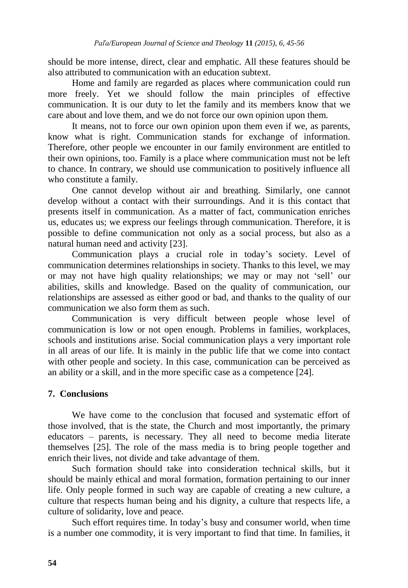should be more intense, direct, clear and emphatic. All these features should be also attributed to communication with an education subtext.

Home and family are regarded as places where communication could run more freely. Yet we should follow the main principles of effective communication. It is our duty to let the family and its members know that we care about and love them, and we do not force our own opinion upon them.

It means, not to force our own opinion upon them even if we, as parents, know what is right. Communication stands for exchange of information. Therefore, other people we encounter in our family environment are entitled to their own opinions, too. Family is a place where communication must not be left to chance. In contrary, we should use communication to positively influence all who constitute a family.

One cannot develop without air and breathing. Similarly, one cannot develop without a contact with their surroundings. And it is this contact that presents itself in communication. As a matter of fact, communication enriches us, educates us; we express our feelings through communication. Therefore, it is possible to define communication not only as a social process, but also as a natural human need and activity [23].

Communication plays a crucial role in today"s society. Level of communication determines relationships in society. Thanks to this level, we may or may not have high quality relationships; we may or may not "sell" our abilities, skills and knowledge. Based on the quality of communication, our relationships are assessed as either good or bad, and thanks to the quality of our communication we also form them as such.

Communication is very difficult between people whose level of communication is low or not open enough. Problems in families, workplaces, schools and institutions arise. Social communication plays a very important role in all areas of our life. It is mainly in the public life that we come into contact with other people and society. In this case, communication can be perceived as an ability or a skill, and in the more specific case as a competence [24].

#### **7. Conclusions**

We have come to the conclusion that focused and systematic effort of those involved, that is the state, the Church and most importantly, the primary educators – parents, is necessary. They all need to become media literate themselves [25]. The role of the mass media is to bring people together and enrich their lives, not divide and take advantage of them.

Such formation should take into consideration technical skills, but it should be mainly ethical and moral formation, formation pertaining to our inner life. Only people formed in such way are capable of creating a new culture, a culture that respects human being and his dignity, a culture that respects life, a culture of solidarity, love and peace.

Such effort requires time. In today"s busy and consumer world, when time is a number one commodity, it is very important to find that time. In families, it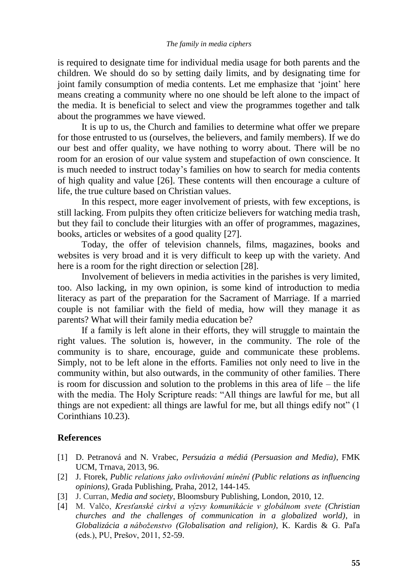is required to designate time for individual media usage for both parents and the children. We should do so by setting daily limits, and by designating time for joint family consumption of media contents. Let me emphasize that 'joint' here means creating a community where no one should be left alone to the impact of the media. It is beneficial to select and view the programmes together and talk about the programmes we have viewed.

It is up to us, the Church and families to determine what offer we prepare for those entrusted to us (ourselves, the believers, and family members). If we do our best and offer quality, we have nothing to worry about. There will be no room for an erosion of our value system and stupefaction of own conscience. It is much needed to instruct today"s families on how to search for media contents of high quality and value [26]. These contents will then encourage a culture of life, the true culture based on Christian values.

In this respect, more eager involvement of priests, with few exceptions, is still lacking. From pulpits they often criticize believers for watching media trash, but they fail to conclude their liturgies with an offer of programmes, magazines, books, articles or websites of a good quality [27].

Today, the offer of television channels, films, magazines, books and websites is very broad and it is very difficult to keep up with the variety. And here is a room for the right direction or selection [28].

Involvement of believers in media activities in the parishes is very limited, too. Also lacking, in my own opinion, is some kind of introduction to media literacy as part of the preparation for the Sacrament of Marriage. If a married couple is not familiar with the field of media, how will they manage it as parents? What will their family media education be?

If a family is left alone in their efforts, they will struggle to maintain the right values. The solution is, however, in the community. The role of the community is to share, encourage, guide and communicate these problems. Simply, not to be left alone in the efforts. Families not only need to live in the community within, but also outwards, in the community of other families. There is room for discussion and solution to the problems in this area of life – the life with the media. The Holy Scripture reads: "All things are lawful for me, but all things are not expedient: all things are lawful for me, but all things edify not" (1 Corinthians 10.23).

# **References**

- [1] D. Petranová and N. Vrabec, *Persuázia a médiá (Persuasion and Media)*, FMK UCM, Trnava, 2013, 96.
- [2] J. Ftorek, *Public relations jako ovlivňování mínění (Public relations as influencing opinions),* Grada Publishing, Praha, 2012, 144-145.
- [3] J. Curran, *Media and society*, Bloomsbury Publishing, London, 2010, 12.
- [4] M. Valčo, *Kresťanské cirkvi a výzvy komunikácie v globálnom svete (Christian churches and the challenges of communication in a globalized world)*, in *Globalizácia a náboženstvo (Globalisation and religion)*, K. Kardis & G. Paľa (eds.), PU, Prešov, 2011, 52-59.